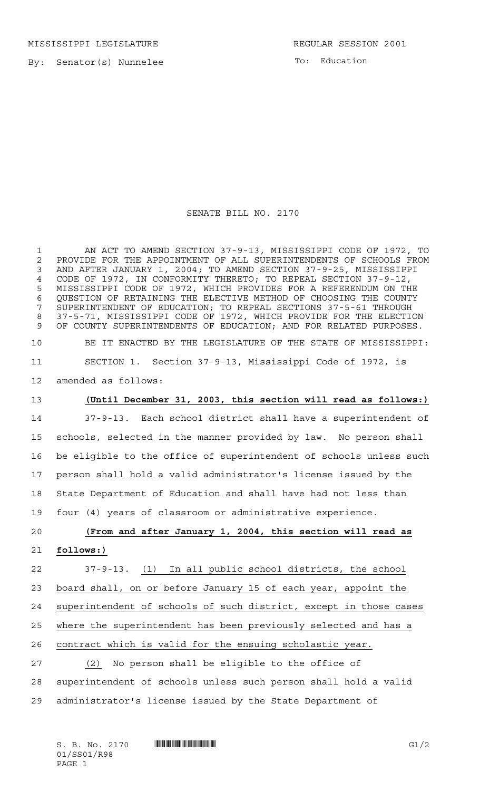By: Senator(s) Nunnelee

To: Education

SENATE BILL NO. 2170

 AN ACT TO AMEND SECTION 37-9-13, MISSISSIPPI CODE OF 1972, TO 2 PROVIDE FOR THE APPOINTMENT OF ALL SUPERINTENDENTS OF SCHOOLS FROM<br>3 AND AFTER JANUARY 1, 2004: TO AMEND SECTION 37-9-25, MISSISSIPPI AND AFTER JANUARY 1, 2004; TO AMEND SECTION 37-9-25, MISSISSIPPI CODE OF 1972, IN CONFORMITY THERETO; TO REPEAL SECTION 37-9-12, MISSISSIPPI CODE OF 1972, WHICH PROVIDES FOR A REFERENDUM ON THE QUESTION OF RETAINING THE ELECTIVE METHOD OF CHOOSING THE COUNTY SUPERINTENDENT OF EDUCATION; TO REPEAL SECTIONS 37-5-61 THROUGH 37-5-71, MISSISSIPPI CODE OF 1972, WHICH PROVIDE FOR THE ELECTION OF COUNTY SUPERINTENDENTS OF EDUCATION; AND FOR RELATED PURPOSES. BE IT ENACTED BY THE LEGISLATURE OF THE STATE OF MISSISSIPPI: SECTION 1. Section 37-9-13, Mississippi Code of 1972, is

amended as follows:

## **(Until December 31, 2003, this section will read as follows:)**

 37-9-13. Each school district shall have a superintendent of schools, selected in the manner provided by law. No person shall be eligible to the office of superintendent of schools unless such person shall hold a valid administrator's license issued by the State Department of Education and shall have had not less than four (4) years of classroom or administrative experience.

# **(From and after January 1, 2004, this section will read as follows:)**

 37-9-13. (1) In all public school districts, the school board shall, on or before January 15 of each year, appoint the superintendent of schools of such district, except in those cases where the superintendent has been previously selected and has a contract which is valid for the ensuing scholastic year.

 (2) No person shall be eligible to the office of superintendent of schools unless such person shall hold a valid administrator's license issued by the State Department of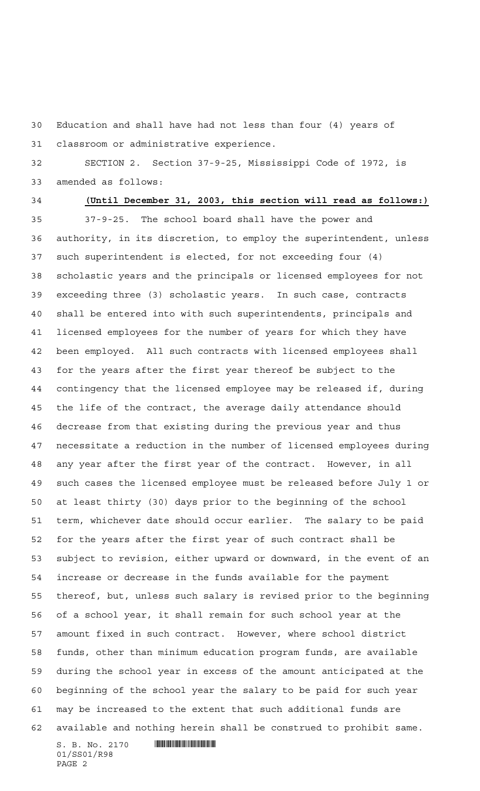Education and shall have had not less than four (4) years of classroom or administrative experience.

 SECTION 2. Section 37-9-25, Mississippi Code of 1972, is amended as follows:

### **(Until December 31, 2003, this section will read as follows:)**

 $S. B. No. 2170$   $\blacksquare$  37-9-25. The school board shall have the power and authority, in its discretion, to employ the superintendent, unless such superintendent is elected, for not exceeding four (4) scholastic years and the principals or licensed employees for not exceeding three (3) scholastic years. In such case, contracts shall be entered into with such superintendents, principals and licensed employees for the number of years for which they have been employed. All such contracts with licensed employees shall for the years after the first year thereof be subject to the contingency that the licensed employee may be released if, during the life of the contract, the average daily attendance should decrease from that existing during the previous year and thus necessitate a reduction in the number of licensed employees during any year after the first year of the contract. However, in all such cases the licensed employee must be released before July 1 or at least thirty (30) days prior to the beginning of the school term, whichever date should occur earlier. The salary to be paid for the years after the first year of such contract shall be subject to revision, either upward or downward, in the event of an increase or decrease in the funds available for the payment thereof, but, unless such salary is revised prior to the beginning of a school year, it shall remain for such school year at the amount fixed in such contract. However, where school district funds, other than minimum education program funds, are available during the school year in excess of the amount anticipated at the beginning of the school year the salary to be paid for such year may be increased to the extent that such additional funds are available and nothing herein shall be construed to prohibit same.

01/SS01/R98 PAGE 2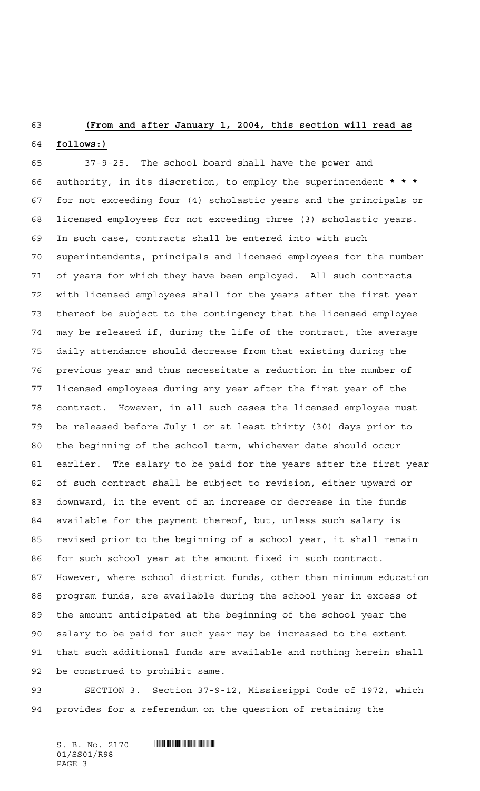#### **(From and after January 1, 2004, this section will read as**

#### **follows:)**

 37-9-25. The school board shall have the power and authority, in its discretion, to employ the superintendent **\*\*\*** for not exceeding four (4) scholastic years and the principals or licensed employees for not exceeding three (3) scholastic years. In such case, contracts shall be entered into with such superintendents, principals and licensed employees for the number of years for which they have been employed. All such contracts with licensed employees shall for the years after the first year thereof be subject to the contingency that the licensed employee may be released if, during the life of the contract, the average daily attendance should decrease from that existing during the previous year and thus necessitate a reduction in the number of licensed employees during any year after the first year of the contract. However, in all such cases the licensed employee must be released before July 1 or at least thirty (30) days prior to the beginning of the school term, whichever date should occur earlier. The salary to be paid for the years after the first year of such contract shall be subject to revision, either upward or downward, in the event of an increase or decrease in the funds available for the payment thereof, but, unless such salary is revised prior to the beginning of a school year, it shall remain for such school year at the amount fixed in such contract. However, where school district funds, other than minimum education program funds, are available during the school year in excess of the amount anticipated at the beginning of the school year the salary to be paid for such year may be increased to the extent that such additional funds are available and nothing herein shall be construed to prohibit same.

 SECTION 3. Section 37-9-12, Mississippi Code of 1972, which provides for a referendum on the question of retaining the

 $S. B. No. 2170$  **INSERIAL SUBSET IN A SET OF A SET OF A SET OF A SET OF A SET OF A SET OF A SET OF A SET OF A SET OF A SET OF A SET OF A SET OF A SET OF A SET OF A SET OF A SET OF A SET OF A SET OF A SET OF A SET OF A SET O** 01/SS01/R98 PAGE 3